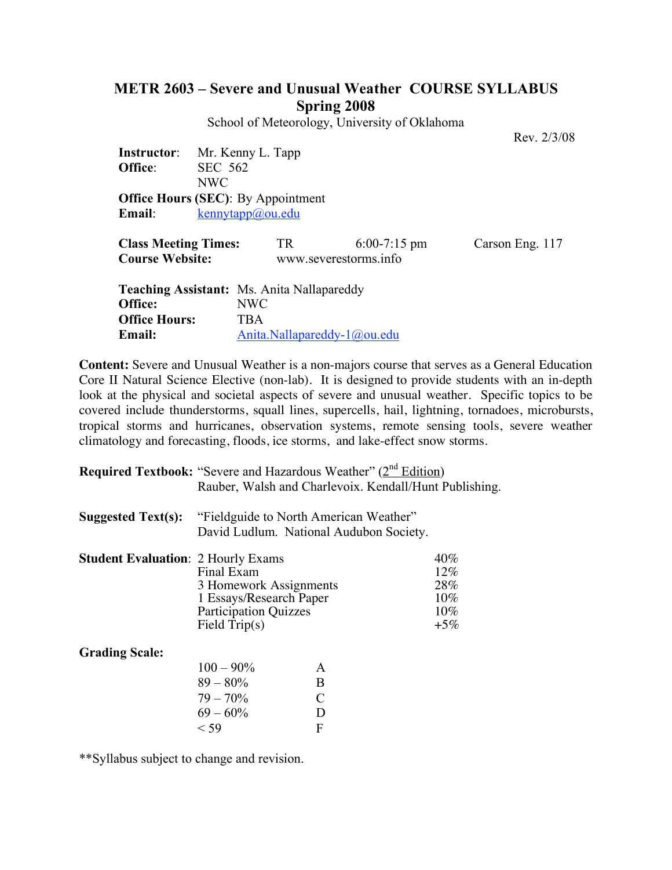## **METR 2603 – Severe and Unusual Weather COURSE SYLLABUS Spring 2008**

School of Meteorology, University of Oklahoma

Rev. 2/3/08

**Instructor**: Mr. Kenny L. Tapp **Office**: SEC 562 NWC **Office Hours (SEC)**: By Appointment **Email**: kennytapp@ou.edu

| <b>Class Meeting Times:</b><br><b>Course Website:</b> | TR                          | $6:00-7:15 \text{ pm}$<br>www.severestorms.info | Carson Eng. 117 |
|-------------------------------------------------------|-----------------------------|-------------------------------------------------|-----------------|
| <b>Teaching Assistant:</b> Ms. Anita Nallapareddy     |                             |                                                 |                 |
| Office:                                               | NWC-                        |                                                 |                 |
| <b>Office Hours:</b>                                  | TBA                         |                                                 |                 |
| Email:                                                | Anita.Nallapareddy-1@ou.edu |                                                 |                 |

**Content:** Severe and Unusual Weather is a non-majors course that serves as a General Education Core II Natural Science Elective (non-lab). It is designed to provide students with an in-depth look at the physical and societal aspects of severe and unusual weather. Specific topics to be covered include thunderstorms, squall lines, supercells, hail, lightning, tornadoes, microbursts, tropical storms and hurricanes, observation systems, remote sensing tools, severe weather climatology and forecasting, floods, ice storms, and lake-effect snow storms.

| <b>Required Textbook:</b> "Severe and Hazardous Weather" $(2^{nd}$ Edition) |  |
|-----------------------------------------------------------------------------|--|
| Rauber, Walsh and Charlevoix. Kendall/Hunt Publishing.                      |  |

| Suggested $Text(s)$ : | "Fieldguide to North American Weather"  |  |  |
|-----------------------|-----------------------------------------|--|--|
|                       | David Ludlum. National Audubon Society. |  |  |

| <b>Student Evaluation: 2 Hourly Exams</b> |                              | $40\%$ |
|-------------------------------------------|------------------------------|--------|
|                                           | Final Exam                   | 12%    |
|                                           | 3 Homework Assignments       | 28%    |
|                                           | 1 Essays/Research Paper      | $10\%$ |
|                                           | <b>Participation Quizzes</b> | 10%    |
|                                           | Field $Trip(s)$              | $+5\%$ |

**Grading Scale:**

| $100 - 90\%$ | A |
|--------------|---|
| $89 - 80\%$  | B |
| $79 - 70\%$  | € |
| $69 - 60\%$  | D |
| $<$ 59       | F |

\*\*Syllabus subject to change and revision.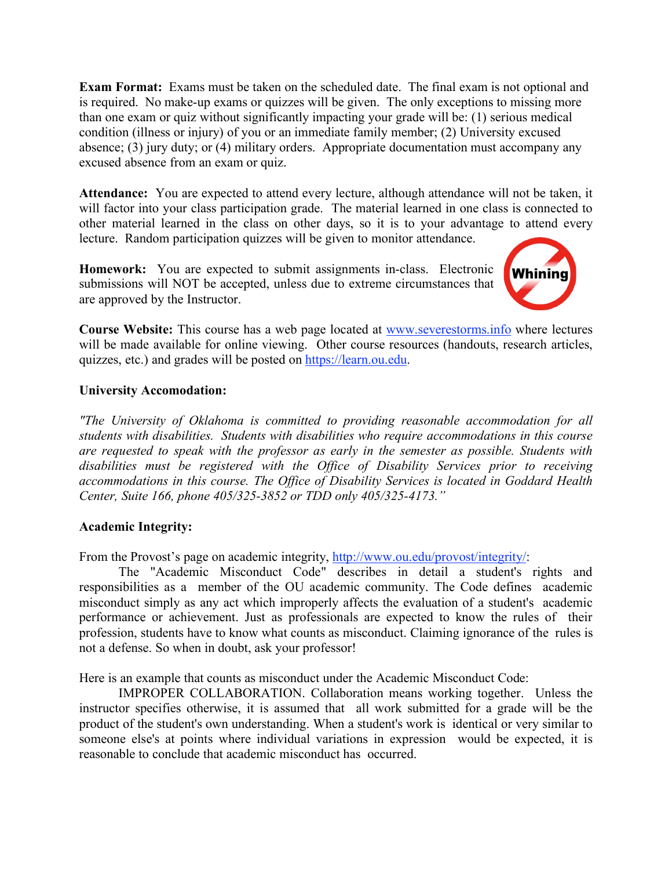**Exam Format:** Exams must be taken on the scheduled date. The final exam is not optional and is required. No make-up exams or quizzes will be given. The only exceptions to missing more than one exam or quiz without significantly impacting your grade will be: (1) serious medical condition (illness or injury) of you or an immediate family member; (2) University excused absence; (3) jury duty; or (4) military orders. Appropriate documentation must accompany any excused absence from an exam or quiz.

**Attendance:** You are expected to attend every lecture, although attendance will not be taken, it will factor into your class participation grade. The material learned in one class is connected to other material learned in the class on other days, so it is to your advantage to attend every lecture. Random participation quizzes will be given to monitor attendance.

**Homework:** You are expected to submit assignments in-class. Electronic submissions will NOT be accepted, unless due to extreme circumstances that are approved by the Instructor.



**Course Website:** This course has a web page located at www.severestorms.info where lectures will be made available for online viewing. Other course resources (handouts, research articles, quizzes, etc.) and grades will be posted on https://learn.ou.edu.

## **University Accomodation:**

*"The University of Oklahoma is committed to providing reasonable accommodation for all students with disabilities. Students with disabilities who require accommodations in this course are requested to speak with the professor as early in the semester as possible. Students with disabilities must be registered with the Office of Disability Services prior to receiving accommodations in this course. The Office of Disability Services is located in Goddard Health Center, Suite 166, phone 405/325-3852 or TDD only 405/325-4173."*

## **Academic Integrity:**

From the Provost's page on academic integrity, http://www.ou.edu/provost/integrity/:

The "Academic Misconduct Code" describes in detail a student's rights and responsibilities as a member of the OU academic community. The Code defines academic misconduct simply as any act which improperly affects the evaluation of a student's academic performance or achievement. Just as professionals are expected to know the rules of their profession, students have to know what counts as misconduct. Claiming ignorance of the rules is not a defense. So when in doubt, ask your professor!

Here is an example that counts as misconduct under the Academic Misconduct Code:

IMPROPER COLLABORATION. Collaboration means working together. Unless the instructor specifies otherwise, it is assumed that all work submitted for a grade will be the product of the student's own understanding. When a student's work is identical or very similar to someone else's at points where individual variations in expression would be expected, it is reasonable to conclude that academic misconduct has occurred.